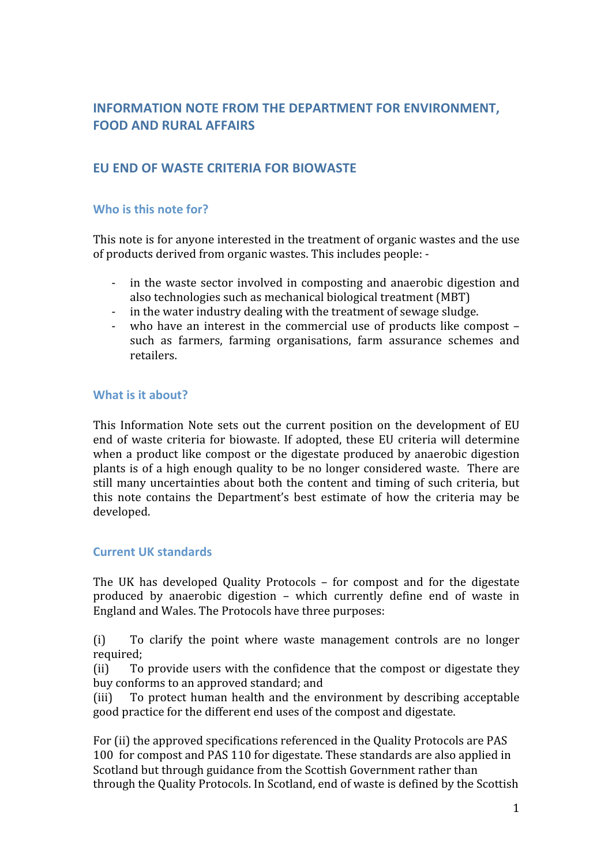# **INFORMATION NOTE FROM THE DEPARTMENT FOR ENVIRONMENT. FOOD
AND
RURAL
AFFAIRS**

# **EU
END
OF
WASTE
CRITERIA FOR
BIOWASTE**

# Who is this note for?

This note is for anyone interested in the treatment of organic wastes and the use of
products
derived
from
organic
wastes.
This
includes people:
‐

- in the waste sector involved in composting and anaerobic digestion and also
technologies such
as
mechanical
biological
treatment
(MBT)
- in the water industry dealing with the treatment of sewage sludge.
- who have an interest in the commercial use of products like compost such as farmers, farming organisations, farm assurance schemes and retailers.

#### What is it about?

This Information Note sets out the current position on the development of EU end of waste criteria for biowaste. If adopted, these EU criteria will determine when
a
product
like
compost
or
 the
digestate
produced
by
anaerobic
digestion plants
is
of
a
high
enough
quality
 to
be
no
longer
considered
waste. There
are still
many
uncertainties
about
both
 the
content
and
timing
 of such criteria, but this note contains the Department's best estimate of how the criteria may be developed.

#### **Current
UK
standards**

The
 UK
 has
 developed
 Quality
 Protocols – for
 compost
 and
 for
 the
 digestate produced
 by
 anaerobic
 digestion – which
 currently
 define
 end
 of
 waste
 in England and
Wales. The
Protocols
have
three
purposes:

(i) To
 clarify
 the
 point
 where
 waste
 management
 controls
 are
 no
 longer required;

(ii) To
provide
users
with
 the
confidence
 that
 the
compost
or
digestate
 they buy
conforms
to
an
approved
standard;
and

(iii) To
 protect
 human
 health
 and
 the
 environment
 by
 describing
 acceptable good
practice
for
the
different
end
uses
of
the
compost
and
digestate.

For (ii) the approved specifications referenced in the Quality Protocols are PAS 100 for compost and PAS 110 for digestate. These standards are also applied in Scotland but through guidance from the Scottish Government rather than through
the
Quality
Protocols. In
Scotland,
end
of
waste
is
defined
by
the
Scottish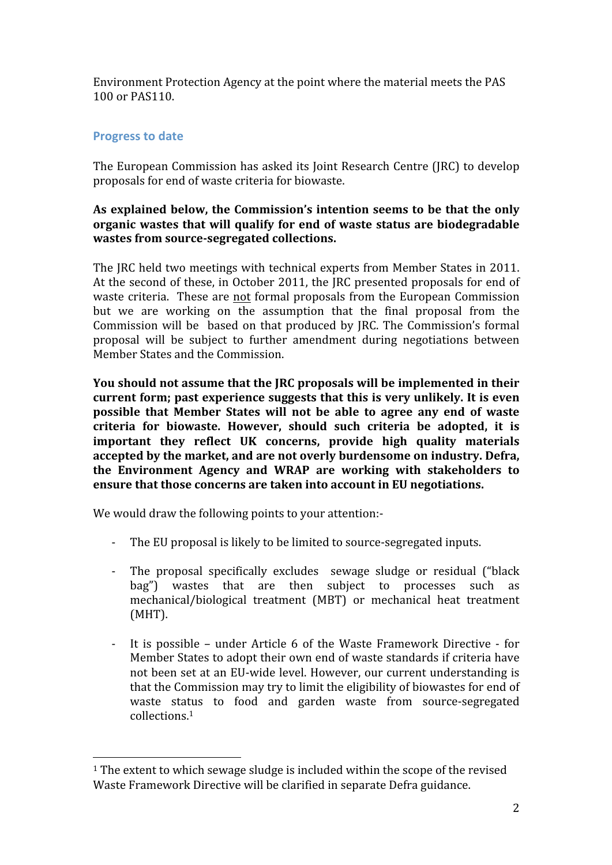Environment
Protection
Agency
at
the
point
where
the
material
meets
the
PAS 100
or
PAS110.

# **Progress
to
date**

The European Commission has asked its Joint Research Centre (IRC) to develop proposals
for
end
of
waste
criteria for
biowaste.

# As explained below, the Commission's intention seems to be that the only **organic
wastes
 that
will qualify
 for
end
of
waste
status
are biodegradable wastes from
source‐segregated
collections.**

The
JRC
held
two
meetings
with
technical
experts from
Member
States in
2011. At the second of these, in October 2011, the JRC presented proposals for end of waste criteria. These are not formal proposals from the European Commission but we are working on the assumption that the final proposal from the Commission will be based on that produced by JRC. The Commission's formal proposal
 will
 be
 subject
 to
 further
 amendment during
 negotiations between Member
States
and
the
Commission.

You should not assume that the JRC proposals will be implemented in their **current
form;
past
experience
suggests that this is
very
unlikely.
It
is
even**  possible that Member States will not be able to agree any end of waste **criteria
 for
 biowaste.
 However,
 should
 such
 criteria
 be
 adopted, it
 is important
 they
 reflect
 UK
 concerns,
 provide
 high
 quality
 materials accepted
by
the market, and
are
not
overly
burdensome
on
industry.
Defra, the
 Environment
 Agency and
 WRAP
 are
 working with
 stakeholders to**  ensure that those concerns are taken into account in EU negotiations.

We would draw the following points to your attention:-

- The EU proposal is likely to be limited to source-segregated inputs.
- The proposal specifically excludes sewage sludge or residual ("black bag") wastes that are then subject to processes such as mechanical/biological
 treatment
 (MBT)
 or
 mechanical
 heat
 treatment (MHT).
- ‐ It
 is
 possible under
Article 6
 of
 the
 Waste
 Framework
 Directive
‐ for Member States to adopt their own end of waste standards if criteria have not
been
set
at
an
EU‐wide
level.
However,
our
current understanding
is that
the
Commission may try
to
limit
the
eligibility
of
biowastes
for
end
of waste status to food and garden waste from source-segregated collections. 1

<sup>&</sup>lt;sup>1</sup> The extent to which sewage sludge is included within the scope of the revised Waste Framework Directive will be clarified in separate Defra guidance.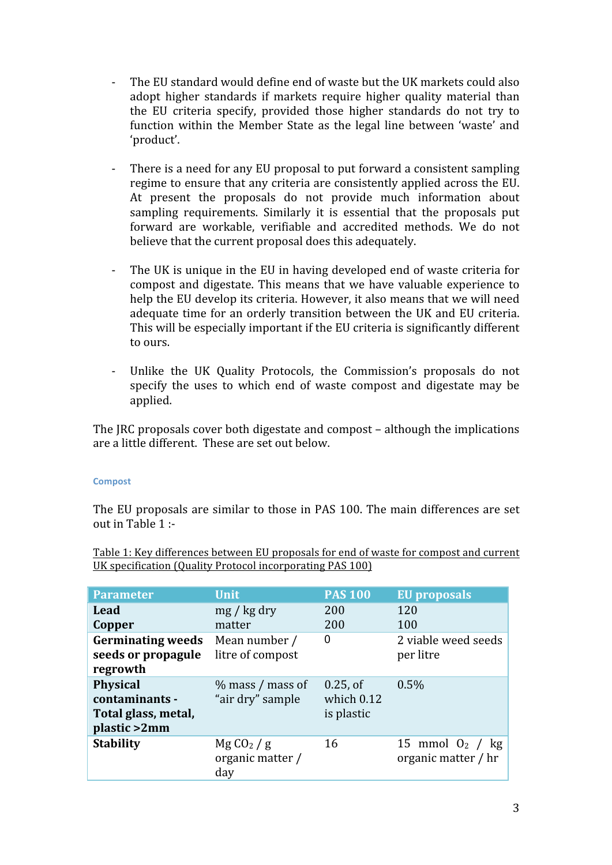- The EU standard would define end of waste but the UK markets could also adopt higher standards if markets require higher quality material than the
 EU
 criteria
 specify,
 provided
 those
 higher
 standards
 do
 not
 try
 to function within the Member State as the legal line between 'waste' and 'product'.
- There is a need for any EU proposal to put forward a consistent sampling regime
to
ensure
that
any
criteria
are
consistently
applied
across
the
EU. At present the proposals do not provide much information about sampling requirements. Similarly it is essential that the proposals put forward are workable, verifiable and accredited methods. We do not believe
that
the
current
proposal
does
this
adequately.
- The UK is unique in the EU in having developed end of waste criteria for compost
and
 digestate.
This
means
 that
we
 have
 valuable
experience
 to help the EU develop its criteria. However, it also means that we will need adequate time for an orderly transition between the UK and EU criteria. This will be especially important if the EU criteria is significantly different to ours.
- Unlike the UK Quality Protocols, the Commission's proposals do not specify the uses to which end of waste compost and digestate may be applied.

The
JRC
proposals
cover
both
digestate
and
compost
– although
the
implications are
a
little
different.

These
are
set
out
below.

#### **Compost**

The EU proposals are similar to those in PAS 100. The main differences are set out
in
Table
1 :‐

Table
1:
Key
differences
between
EU
proposals
for
end
of
waste
for
compost
and
current UK specification (Quality Protocol incorporating PAS 100)

| <b>Parameter</b>                                                         | <b>Unit</b>                                     | <b>PAS 100</b>                            | <b>EU</b> proposals                       |
|--------------------------------------------------------------------------|-------------------------------------------------|-------------------------------------------|-------------------------------------------|
| Lead<br>Copper                                                           | mg / kg dry<br>matter                           | 200<br>200                                | 120<br>100                                |
| <b>Germinating weeds</b><br>seeds or propagule<br>regrowth               | Mean number /<br>litre of compost               | 0                                         | 2 viable weed seeds<br>per litre          |
| <b>Physical</b><br>contaminants -<br>Total glass, metal,<br>plastic >2mm | $\%$ mass / mass of<br>"air dry" sample         | $0.25$ , of<br>which $0.12$<br>is plastic | 0.5%                                      |
| <b>Stability</b>                                                         | MgCO <sub>2</sub> /g<br>organic matter /<br>day | 16                                        | 15 mmol $O_2$ / kg<br>organic matter / hr |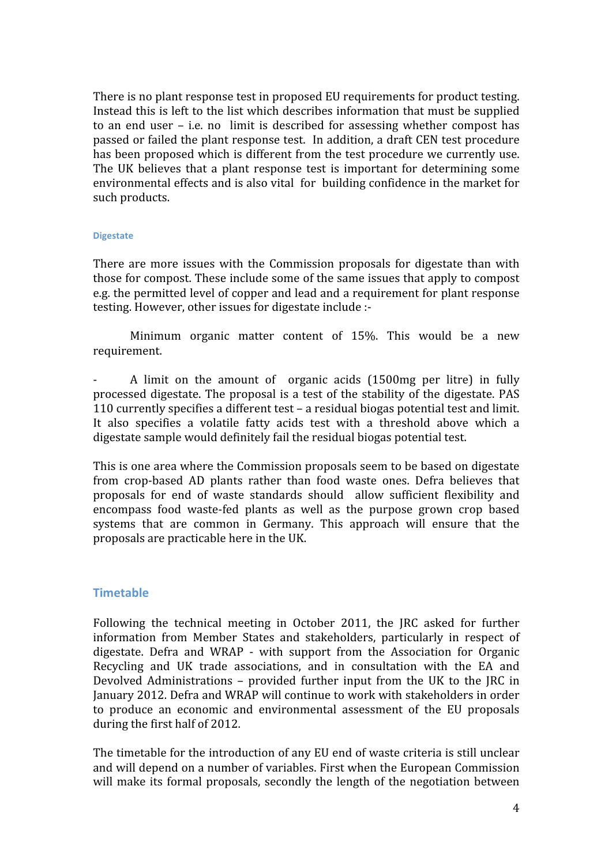There is no plant response test in proposed EU requirements for product testing. Instead this is left to the list which describes information that must be supplied to an end user – i.e. no limit is described for assessing whether compost has passed
or
failed
the
plant
response
test.

In
addition,
a
draft
CEN
test
procedure has been proposed which is different from the test procedure we currently use. The UK believes that a plant response test is important for determining some environmental effects and is also vital for building confidence in the market for such
products.

#### **Digestate**

There are more issues with the Commission proposals for digestate than with those
for
compost. These
include some
of
the
same
issues
that apply
to
compost e.g.
the
permitted
level
of
copper
and
lead and
a
requirement
for
plant
response testing. However, other issues for digestate include :-

Minimum organic matter content of 15%. This would be a new requirement.

A limit on the amount of organic acids (1500mg per litre) in fully processed digestate. The proposal is a test of the stability of the digestate. PAS 110
currently
specifies
a
different
test
– a
residual
biogas
potential
test
and
limit. It also specifies a volatile fatty acids test with a threshold above which a digestate sample would definitely fail the residual biogas potential test.

This
is
one
area
where
the
Commission
proposals
seem
to
be
based
on
digestate from crop-based AD plants rather than food waste ones. Defra believes that proposals for end of waste standards should allow sufficient flexibility and encompass food waste-fed plants as well as the purpose grown crop based systems that are common in Germany. This approach will ensure that the proposals
are
practicable here
in
the
UK.

# **Timetable**

Following the technical meeting in October 2011, the JRC asked for further information
 from Member States
 and
 stakeholders, particularly
 in
 respect
 of digestate. Defra and WRAP - with support from the Association for Organic Recycling and UK trade associations, and in consultation with the EA and Devolved Administrations - provided further input from the UK to the JRC in January
2012.
Defra
and
WRAP
will
continue
to
work
with
stakeholders
in
order to produce an economic and environmental assessment of the EU proposals during
the
first
half
of
2012.

The timetable for the introduction of any EU end of waste criteria is still unclear and will depend on a number of variables. First when the European Commission will make its formal proposals, secondly the length of the negotiation between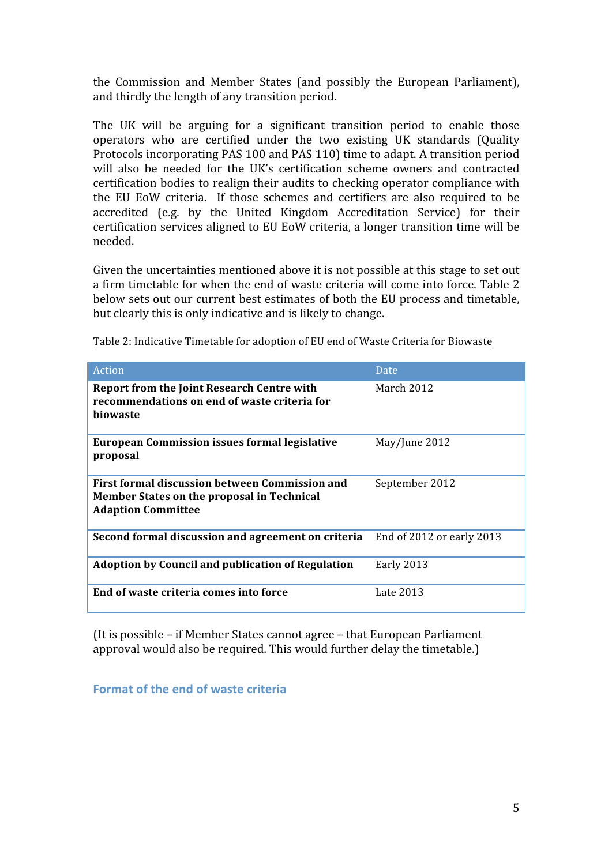the
 Commission and Member
 States
 (and
 possibly
 the
 European
 Parliament), and
thirdly
the
length
of
any
transition
period.

The UK will be arguing for a significant transition period to enable those operators who
 are certified under the
 two existing UK
 standards
 (Quality Protocols
incorporating
PAS
100
and
PAS
110)
time
to
adapt. A
transition
period will also be needed for the UK's certification scheme owners and contracted certification
bodies
to
realign
their
audits
to
checking
operator
compliance
with the EU EoW criteria. If those schemes and certifiers are also required to be accredited
 (e.g.
 by
 the
 United
 Kingdom
 Accreditation Service)
 for
 their certification
services
aligned
to
EU
EoW
criteria,
a
longer
transition
time
will
be needed.

Given the uncertainties mentioned above it is not possible at this stage to set out a firm timetable for when the end of waste criteria will come into force. Table 2 below sets out our current best estimates of both the EU process and timetable, but
clearly
this
is
only
indicative
and
is
likely
to
change.

| Action                                                                                                                    | Date           |
|---------------------------------------------------------------------------------------------------------------------------|----------------|
| <b>Report from the Joint Research Centre with</b><br>recommendations on end of waste criteria for<br>biowaste             | March 2012     |
| <b>European Commission issues formal legislative</b><br>proposal                                                          | May/June 2012  |
| First formal discussion between Commission and<br>Member States on the proposal in Technical<br><b>Adaption Committee</b> | September 2012 |
| <b>Second formal discussion and agreement on criteria</b> End of 2012 or early 2013                                       |                |
| <b>Adoption by Council and publication of Regulation</b>                                                                  | Early 2013     |
| End of waste criteria comes into force                                                                                    | Late 2013      |

Table
2:
Indicative Timetable
for
adoption
of
EU
end
of
Waste
Criteria
for
Biowaste

(It is
possible
– if
Member
States
cannot
agree
– that
European
Parliament approval
would
also
be
required.
This
would
further
delay
the
timetable.)

**Format
of
the
end
of
waste
criteria**